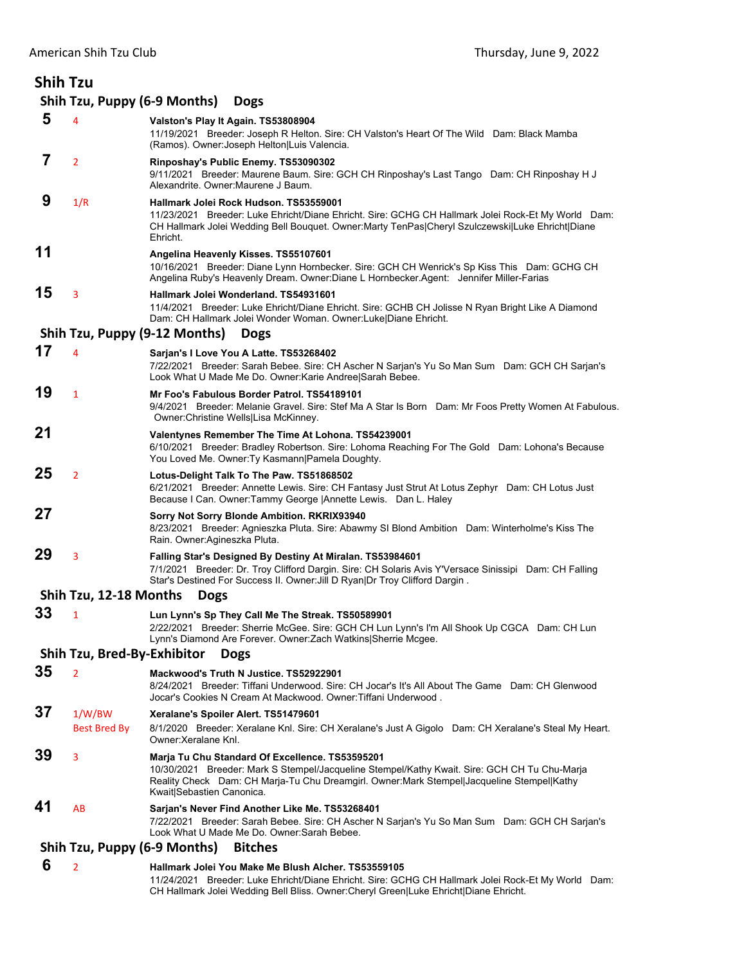| <b>Shih Tzu</b> |                               |                                                                                                                                                                                                                                                                           |
|-----------------|-------------------------------|---------------------------------------------------------------------------------------------------------------------------------------------------------------------------------------------------------------------------------------------------------------------------|
|                 |                               | Shih Tzu, Puppy (6-9 Months)<br><b>Dogs</b>                                                                                                                                                                                                                               |
| 5               | 4                             | Valston's Play It Again. TS53808904<br>11/19/2021 Breeder: Joseph R Helton. Sire: CH Valston's Heart Of The Wild Dam: Black Mamba<br>(Ramos). Owner: Joseph Helton Luis Valencia.                                                                                         |
| 7               | $\overline{2}$                | Rinposhay's Public Enemy. TS53090302<br>9/11/2021 Breeder: Maurene Baum. Sire: GCH CH Rinposhay's Last Tango Dam: CH Rinposhay H J<br>Alexandrite, Owner: Maurene J Baum.                                                                                                 |
| 9               | 1/R                           | Hallmark Jolei Rock Hudson, TS53559001<br>11/23/2021 Breeder: Luke Ehricht/Diane Ehricht. Sire: GCHG CH Hallmark Jolei Rock-Et My World Dam:<br>CH Hallmark Jolei Wedding Bell Bouquet. Owner:Marty TenPas Cheryl Szulczewski Luke Ehricht Diane<br>Ehricht.              |
| 11              |                               | Angelina Heavenly Kisses. TS55107601<br>10/16/2021 Breeder: Diane Lynn Hornbecker. Sire: GCH CH Wenrick's Sp Kiss This Dam: GCHG CH<br>Angelina Ruby's Heavenly Dream. Owner:Diane L Hornbecker.Agent: Jennifer Miller-Farias                                             |
| 15              | 3                             | Hallmark Jolei Wonderland. TS54931601<br>11/4/2021 Breeder: Luke Ehricht/Diane Ehricht. Sire: GCHB CH Jolisse N Ryan Bright Like A Diamond<br>Dam: CH Hallmark Jolei Wonder Woman. Owner:Luke Diane Ehricht.                                                              |
|                 |                               | Shih Tzu, Puppy (9-12 Months)<br><b>Dogs</b>                                                                                                                                                                                                                              |
| 17              | 4                             | Sarjan's I Love You A Latte. TS53268402<br>7/22/2021 Breeder: Sarah Bebee. Sire: CH Ascher N Sarjan's Yu So Man Sum Dam: GCH CH Sarjan's<br>Look What U Made Me Do. Owner: Karie Andree Sarah Bebee.                                                                      |
| 19              | $\mathbf{1}$                  | Mr Foo's Fabulous Border Patrol. TS54189101<br>9/4/2021 Breeder: Melanie Gravel. Sire: Stef Ma A Star Is Born Dam: Mr Foos Pretty Women At Fabulous.<br>Owner: Christine Wells Lisa McKinney.                                                                             |
| 21              |                               | Valentynes Remember The Time At Lohona. TS54239001<br>6/10/2021 Breeder: Bradley Robertson. Sire: Lohoma Reaching For The Gold Dam: Lohona's Because<br>You Loved Me. Owner: Ty Kasmann   Pamela Doughty.                                                                 |
| 25              | $\overline{2}$                | Lotus-Delight Talk To The Paw. TS51868502<br>6/21/2021 Breeder: Annette Lewis. Sire: CH Fantasy Just Strut At Lotus Zephyr Dam: CH Lotus Just<br>Because I Can. Owner: Tammy George   Annette Lewis. Dan L. Haley                                                         |
| 27              |                               | Sorry Not Sorry Blonde Ambition. RKRIX93940<br>8/23/2021 Breeder: Agnieszka Pluta. Sire: Abawmy SI Blond Ambition Dam: Winterholme's Kiss The<br>Rain. Owner:Agineszka Pluta.                                                                                             |
| 29              | 3                             | Falling Star's Designed By Destiny At Miralan. TS53984601<br>7/1/2021 Breeder: Dr. Troy Clifford Dargin. Sire: CH Solaris Avis Y'Versace Sinissipi Dam: CH Falling<br>Star's Destined For Success II. Owner: Jill D Ryan Dr Troy Clifford Dargin.                         |
|                 | Shih Tzu, 12-18 Months        | <b>Dogs</b>                                                                                                                                                                                                                                                               |
| 33              | 1                             | Lun Lynn's Sp They Call Me The Streak. TS50589901<br>2/22/2021 Breeder: Sherrie McGee. Sire: GCH CH Lun Lynn's I'm All Shook Up CGCA Dam: CH Lun<br>Lynn's Diamond Are Forever. Owner: Zach Watkins Sherrie Mcgee.                                                        |
|                 | Shih Tzu, Bred-By-Exhibitor   | <b>Dogs</b>                                                                                                                                                                                                                                                               |
| 35              | $\overline{2}$                | Mackwood's Truth N Justice. TS52922901<br>8/24/2021 Breeder: Tiffani Underwood. Sire: CH Jocar's It's All About The Game Dam: CH Glenwood<br>Jocar's Cookies N Cream At Mackwood, Owner: Tiffani Underwood,                                                               |
| 37              | 1/W/BW<br><b>Best Bred By</b> | Xeralane's Spoiler Alert. TS51479601<br>8/1/2020 Breeder: Xeralane Knl. Sire: CH Xeralane's Just A Gigolo Dam: CH Xeralane's Steal My Heart.<br>Owner Xeralane Knl                                                                                                        |
| 39              | 3                             | Marja Tu Chu Standard Of Excellence. TS53595201<br>10/30/2021 Breeder: Mark S Stempel/Jacqueline Stempel/Kathy Kwait. Sire: GCH CH Tu Chu-Marja<br>Reality Check Dam: CH Marja-Tu Chu Dreamgirl. Owner:Mark Stempel Jacqueline Stempel Kathy<br>Kwait Sebastien Canonica. |
| 41              | AB                            | Sarjan's Never Find Another Like Me. TS53268401<br>7/22/2021 Breeder: Sarah Bebee. Sire: CH Ascher N Sarjan's Yu So Man Sum Dam: GCH CH Sarjan's<br>Look What U Made Me Do. Owner: Sarah Bebee.                                                                           |
|                 |                               | Shih Tzu, Puppy (6-9 Months)<br><b>Bitches</b>                                                                                                                                                                                                                            |
|                 |                               |                                                                                                                                                                                                                                                                           |

 **6** <sup>2</sup> **Hallmark Jolei You Make Me Blush Alcher. TS53559105** 11/24/2021 Breeder: Luke Ehricht/Diane Ehricht. Sire: GCHG CH Hallmark Jolei Rock-Et My World Dam: CH Hallmark Jolei Wedding Bell Bliss. Owner:Cheryl Green|Luke Ehricht|Diane Ehricht.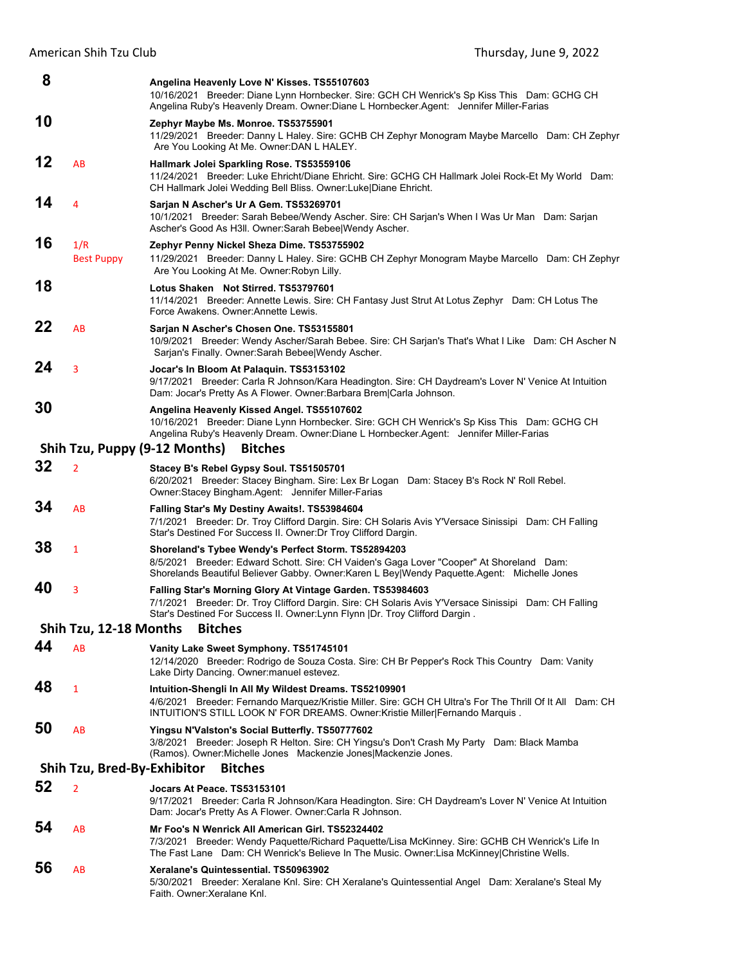| 8                                             |                          | Angelina Heavenly Love N' Kisses. TS55107603<br>10/16/2021 Breeder: Diane Lynn Hornbecker. Sire: GCH CH Wenrick's Sp Kiss This Dam: GCHG CH<br>Angelina Ruby's Heavenly Dream. Owner:Diane L Hornbecker.Agent: Jennifer Miller-Farias               |  |  |  |
|-----------------------------------------------|--------------------------|-----------------------------------------------------------------------------------------------------------------------------------------------------------------------------------------------------------------------------------------------------|--|--|--|
| 10                                            |                          | Zephyr Maybe Ms. Monroe. TS53755901<br>11/29/2021 Breeder: Danny L Haley. Sire: GCHB CH Zephyr Monogram Maybe Marcello Dam: CH Zephyr<br>Are You Looking At Me. Owner: DAN L HALEY.                                                                 |  |  |  |
| 12                                            | AB                       | Hallmark Jolei Sparkling Rose. TS53559106<br>11/24/2021 Breeder: Luke Ehricht/Diane Ehricht. Sire: GCHG CH Hallmark Jolei Rock-Et My World Dam:<br>CH Hallmark Jolei Wedding Bell Bliss. Owner: Luke Diane Ehricht.                                 |  |  |  |
| 14                                            | 4                        | Sarjan N Ascher's Ur A Gem. TS53269701<br>10/1/2021 Breeder: Sarah Bebee/Wendy Ascher. Sire: CH Sarjan's When I Was Ur Man Dam: Sarjan<br>Ascher's Good As H3II. Owner: Sarah Bebee Wendy Ascher.                                                   |  |  |  |
| 16                                            | 1/R<br><b>Best Puppy</b> | Zephyr Penny Nickel Sheza Dime. TS53755902<br>11/29/2021 Breeder: Danny L Haley. Sire: GCHB CH Zephyr Monogram Maybe Marcello Dam: CH Zephyr<br>Are You Looking At Me. Owner: Robyn Lilly.                                                          |  |  |  |
| 18                                            |                          | Lotus Shaken Not Stirred. TS53797601<br>11/14/2021 Breeder: Annette Lewis. Sire: CH Fantasy Just Strut At Lotus Zephyr Dam: CH Lotus The<br>Force Awakens. Owner: Annette Lewis.                                                                    |  |  |  |
| 22                                            | AB                       | Sarjan N Ascher's Chosen One. TS53155801<br>10/9/2021 Breeder: Wendy Ascher/Sarah Bebee. Sire: CH Sarjan's That's What I Like Dam: CH Ascher N<br>Sarjan's Finally. Owner: Sarah BebeelWendy Ascher.                                                |  |  |  |
| 24                                            | 3                        | Jocar's In Bloom At Palaquin. TS53153102<br>9/17/2021 Breeder: Carla R Johnson/Kara Headington. Sire: CH Daydream's Lover N' Venice At Intuition<br>Dam: Jocar's Pretty As A Flower. Owner: Barbara Brem Carla Johnson.                             |  |  |  |
| 30                                            |                          | Angelina Heavenly Kissed Angel. TS55107602<br>10/16/2021 Breeder: Diane Lynn Hornbecker. Sire: GCH CH Wenrick's Sp Kiss This Dam: GCHG CH<br>Angelina Ruby's Heavenly Dream. Owner:Diane L Hornbecker.Agent: Jennifer Miller-Farias                 |  |  |  |
|                                               |                          | Shih Tzu, Puppy (9-12 Months)<br><b>Bitches</b>                                                                                                                                                                                                     |  |  |  |
| 32                                            | $\overline{2}$           | Stacey B's Rebel Gypsy Soul. TS51505701<br>6/20/2021 Breeder: Stacey Bingham. Sire: Lex Br Logan Dam: Stacey B's Rock N' Roll Rebel.<br>Owner:Stacey Bingham.Agent: Jennifer Miller-Farias                                                          |  |  |  |
| 34                                            | AB                       | Falling Star's My Destiny Awaits!. TS53984604<br>7/1/2021 Breeder: Dr. Troy Clifford Dargin. Sire: CH Solaris Avis Y'Versace Sinissipi Dam: CH Falling<br>Star's Destined For Success II. Owner: Dr Troy Clifford Dargin.                           |  |  |  |
| 38                                            | $\mathbf{1}$             | Shoreland's Tybee Wendy's Perfect Storm. TS52894203<br>8/5/2021 Breeder: Edward Schott. Sire: CH Vaiden's Gaga Lover "Cooper" At Shoreland Dam:<br>Shorelands Beautiful Believer Gabby. Owner: Karen L Bey Wendy Paquette. Agent: Michelle Jones    |  |  |  |
| 40                                            | 3                        | Falling Star's Morning Glory At Vintage Garden. TS53984603<br>7/1/2021 Breeder: Dr. Troy Clifford Dargin. Sire: CH Solaris Avis Y'Versace Sinissipi Dam: CH Falling<br>Star's Destined For Success II. Owner: Lynn Flynn   Dr. Troy Clifford Dargin |  |  |  |
|                                               | Shih Tzu, 12-18 Months   | <b>Bitches</b>                                                                                                                                                                                                                                      |  |  |  |
| 44                                            | AB                       | Vanity Lake Sweet Symphony. TS51745101<br>12/14/2020 Breeder: Rodrigo de Souza Costa. Sire: CH Br Pepper's Rock This Country Dam: Vanity<br>Lake Dirty Dancing. Owner: manuel estevez.                                                              |  |  |  |
| 48                                            | 1                        | Intuition-Shengli In All My Wildest Dreams. TS52109901<br>4/6/2021 Breeder: Fernando Marquez/Kristie Miller. Sire: GCH CH Ultra's For The Thrill Of It All Dam: CH<br>INTUITION'S STILL LOOK N' FOR DREAMS. Owner: Kristie Miller Fernando Marquis. |  |  |  |
| 50                                            | AB                       | Yingsu N'Valston's Social Butterfly. TS50777602<br>3/8/2021 Breeder: Joseph R Helton. Sire: CH Yingsu's Don't Crash My Party Dam: Black Mamba<br>(Ramos). Owner: Michelle Jones Mackenzie Jones Mackenzie Jones.                                    |  |  |  |
| <b>Bitches</b><br>Shih Tzu, Bred-By-Exhibitor |                          |                                                                                                                                                                                                                                                     |  |  |  |
| 52                                            | $\overline{2}$           | Jocars At Peace. TS53153101<br>9/17/2021 Breeder: Carla R Johnson/Kara Headington. Sire: CH Daydream's Lover N' Venice At Intuition<br>Dam: Jocar's Pretty As A Flower. Owner: Carla R Johnson.                                                     |  |  |  |
| 54                                            | AB                       | Mr Foo's N Wenrick All American Girl. TS52324402<br>7/3/2021 Breeder: Wendy Paquette/Richard Paquette/Lisa McKinney. Sire: GCHB CH Wenrick's Life In<br>The Fast Lane Dam: CH Wenrick's Believe In The Music. Owner: Lisa McKinney Christine Wells. |  |  |  |
| 56                                            | AB                       | Xeralane's Quintessential. TS50963902<br>5/30/2021 Breeder: Xeralane Knl. Sire: CH Xeralane's Quintessential Angel Dam: Xeralane's Steal My<br>Faith. Owner: Xeralane Knl.                                                                          |  |  |  |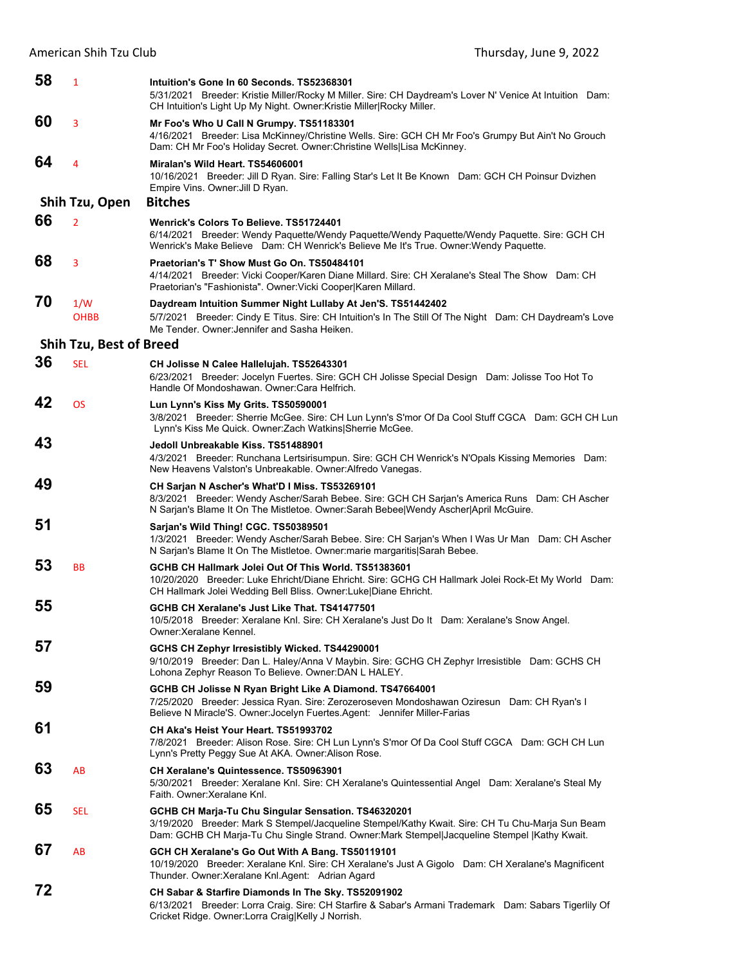| 58 | $\mathbf{1}$                   | Intuition's Gone In 60 Seconds, TS52368301<br>5/31/2021 Breeder: Kristie Miller/Rocky M Miller. Sire: CH Daydream's Lover N' Venice At Intuition Dam:<br>CH Intuition's Light Up My Night. Owner: Kristie Miller Rocky Miller.                           |
|----|--------------------------------|----------------------------------------------------------------------------------------------------------------------------------------------------------------------------------------------------------------------------------------------------------|
| 60 | 3                              | Mr Foo's Who U Call N Grumpy. TS51183301<br>4/16/2021 Breeder: Lisa McKinney/Christine Wells. Sire: GCH CH Mr Foo's Grumpy But Ain't No Grouch<br>Dam: CH Mr Foo's Holiday Secret. Owner: Christine Wells Lisa McKinney.                                 |
| 64 | 4                              | Miralan's Wild Heart. TS54606001<br>10/16/2021 Breeder: Jill D Ryan. Sire: Falling Star's Let It Be Known Dam: GCH CH Poinsur Dvizhen<br>Empire Vins. Owner: Jill D Ryan.                                                                                |
|    | Shih Tzu, Open                 | <b>Bitches</b>                                                                                                                                                                                                                                           |
| 66 | $\overline{2}$                 | Wenrick's Colors To Believe, TS51724401<br>6/14/2021 Breeder: Wendy Paquette/Wendy Paquette/Wendy Paquette/Wendy Paquette. Sire: GCH CH<br>Wenrick's Make Believe Dam: CH Wenrick's Believe Me It's True. Owner: Wendy Paquette.                         |
| 68 | 3                              | Praetorian's T' Show Must Go On. TS50484101<br>4/14/2021 Breeder: Vicki Cooper/Karen Diane Millard. Sire: CH Xeralane's Steal The Show Dam: CH<br>Praetorian's "Fashionista". Owner: Vicki Cooper Karen Millard.                                         |
| 70 | 1/W<br><b>OHBB</b>             | Daydream Intuition Summer Night Lullaby At Jen'S. TS51442402<br>5/7/2021 Breeder: Cindy E Titus. Sire: CH Intuition's In The Still Of The Night Dam: CH Daydream's Love<br>Me Tender, Owner: Jennifer and Sasha Heiken.                                  |
|    | <b>Shih Tzu, Best of Breed</b> |                                                                                                                                                                                                                                                          |
| 36 | <b>SEL</b>                     | CH Jolisse N Calee Hallelujah. TS52643301<br>6/23/2021 Breeder: Jocelyn Fuertes. Sire: GCH CH Jolisse Special Design Dam: Jolisse Too Hot To<br>Handle Of Mondoshawan, Owner:Cara Helfrich,                                                              |
| 42 | <b>OS</b>                      | Lun Lynn's Kiss My Grits. TS50590001<br>3/8/2021 Breeder: Sherrie McGee. Sire: CH Lun Lynn's S'mor Of Da Cool Stuff CGCA Dam: GCH CH Lun<br>Lynn's Kiss Me Quick. Owner: Zach Watkins Sherrie McGee.                                                     |
| 43 |                                | Jedoll Unbreakable Kiss, TS51488901<br>4/3/2021 Breeder: Runchana Lertsirisumpun. Sire: GCH CH Wenrick's N'Opals Kissing Memories Dam:<br>New Heavens Valston's Unbreakable. Owner: Alfredo Vanegas.                                                     |
| 49 |                                | CH Sarjan N Ascher's What'D I Miss. TS53269101<br>8/3/2021 Breeder: Wendy Ascher/Sarah Bebee. Sire: GCH CH Sarjan's America Runs Dam: CH Ascher<br>N Sarjan's Blame It On The Mistletoe. Owner: Sarah Bebee Wendy Ascher April McGuire.                  |
| 51 |                                | Sarjan's Wild Thing! CGC. TS50389501<br>1/3/2021 Breeder: Wendy Ascher/Sarah Bebee. Sire: CH Sarjan's When I Was Ur Man Dam: CH Ascher<br>N Sarjan's Blame It On The Mistletoe. Owner: marie margaritis Sarah Bebee.                                     |
| 53 | <b>BB</b>                      | GCHB CH Hallmark Jolei Out Of This World, TS51383601<br>10/20/2020 Breeder: Luke Ehricht/Diane Ehricht. Sire: GCHG CH Hallmark Jolei Rock-Et My World Dam:<br>CH Hallmark Jolei Wedding Bell Bliss. Owner: Luke Diane Ehricht.                           |
| 55 |                                | GCHB CH Xeralane's Just Like That. TS41477501<br>10/5/2018 Breeder: Xeralane Knl. Sire: CH Xeralane's Just Do It Dam: Xeralane's Snow Angel.<br>Owner: Xeralane Kennel.                                                                                  |
| 57 |                                | GCHS CH Zephyr Irresistibly Wicked. TS44290001<br>9/10/2019 Breeder: Dan L. Haley/Anna V Maybin. Sire: GCHG CH Zephyr Irresistible Dam: GCHS CH<br>Lohona Zephyr Reason To Believe. Owner: DAN L HALEY.                                                  |
| 59 |                                | GCHB CH Jolisse N Ryan Bright Like A Diamond. TS47664001<br>7/25/2020 Breeder: Jessica Ryan. Sire: Zerozeroseven Mondoshawan Oziresun Dam: CH Ryan's I<br>Believe N Miracle'S. Owner: Jocelyn Fuertes. Agent: Jennifer Miller-Farias                     |
| 61 |                                | CH Aka's Heist Your Heart. TS51993702<br>7/8/2021 Breeder: Alison Rose. Sire: CH Lun Lynn's S'mor Of Da Cool Stuff CGCA Dam: GCH CH Lun<br>Lynn's Pretty Peggy Sue At AKA. Owner: Alison Rose.                                                           |
| 63 | AB                             | CH Xeralane's Quintessence. TS50963901<br>5/30/2021 Breeder: Xeralane Knl. Sire: CH Xeralane's Quintessential Angel Dam: Xeralane's Steal My<br>Faith. Owner: Xeralane Knl.                                                                              |
| 65 | SEL                            | GCHB CH Marja-Tu Chu Singular Sensation. TS46320201<br>3/19/2020 Breeder: Mark S Stempel/Jacqueline Stempel/Kathy Kwait. Sire: CH Tu Chu-Marja Sun Beam<br>Dam: GCHB CH Marja-Tu Chu Single Strand. Owner: Mark Stempel Jacqueline Stempel  Kathy Kwait. |
| 67 | AB                             | GCH CH Xeralane's Go Out With A Bang. TS50119101<br>10/19/2020 Breeder: Xeralane Knl. Sire: CH Xeralane's Just A Gigolo Dam: CH Xeralane's Magnificent<br>Thunder. Owner: Xeralane Knl. Agent: Adrian Agard                                              |
| 72 |                                | CH Sabar & Starfire Diamonds In The Sky. TS52091902<br>6/13/2021 Breeder: Lorra Craig. Sire: CH Starfire & Sabar's Armani Trademark Dam: Sabars Tigerlily Of<br>Cricket Ridge. Owner:Lorra Craig Kelly J Norrish.                                        |